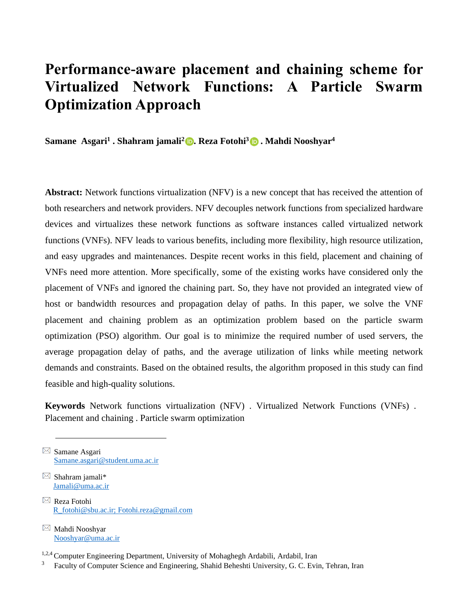# **Performance-aware placement and chaining scheme for Virtualized Network Functions: A Particle Swarm Optimization Approach**

**Samane Asgari<sup>1</sup> . Shahram jamali<sup>2</sup>  [.](https://orcid.org/0000-0003-2764-6373) Reza Fotohi<sup>3</sup> . Mahdi Nooshyar<sup>4</sup>**

**Abstract:** Network functions virtualization (NFV) is a new concept that has received the attention of both researchers and network providers. NFV decouples network functions from specialized hardware devices and virtualizes these network functions as software instances called virtualized network functions (VNFs). NFV leads to various benefits, including more flexibility, high resource utilization, and easy upgrades and maintenances. Despite recent works in this field, placement and chaining of VNFs need more attention. More specifically, some of the existing works have considered only the placement of VNFs and ignored the chaining part. So, they have not provided an integrated view of host or bandwidth resources and propagation delay of paths. In this paper, we solve the VNF placement and chaining problem as an optimization problem based on the particle swarm optimization (PSO) algorithm. Our goal is to minimize the required number of used servers, the average propagation delay of paths, and the average utilization of links while meeting network demands and constraints. Based on the obtained results, the algorithm proposed in this study can find feasible and high-quality solutions.

**Keywords** Network functions virtualization (NFV) . Virtualized Network Functions (VNFs) . Placement and chaining . Particle swarm optimization

 $\boxtimes$  Samane Asgari Samane.asgari@student.uma.ac.ir

- $\boxtimes$  Shahram jamali\* Jamali@uma.ac.ir
- $\boxtimes$  Reza Fotohi R\_fotohi@sbu.ac.ir; [Fotohi.reza@gmail.com](mailto:Fotohi.reza@gmail.com)
- $\boxtimes$  Mahdi Nooshyar Nooshyar@uma.ac.ir

1,2,4 Computer Engineering Department, University of Mohaghegh Ardabili, Ardabil, Iran

3 Faculty of Computer Science and Engineering, Shahid Beheshti University, G. C. Evin, Tehran, Iran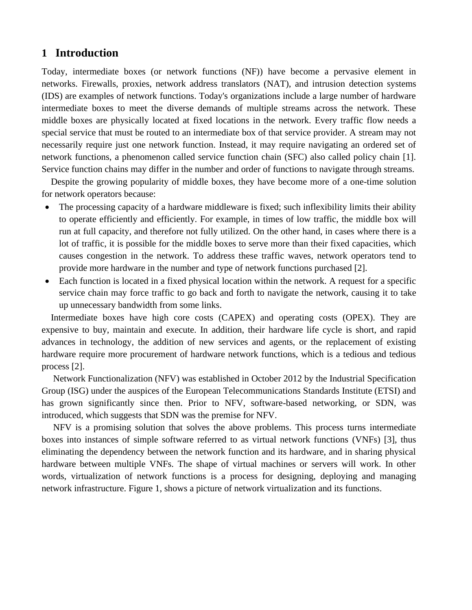# **1 Introduction**

Today, intermediate boxes (or network functions (NF)) have become a pervasive element in networks. Firewalls, proxies, network address translators (NAT), and intrusion detection systems (IDS) are examples of network functions. Today's organizations include a large number of hardware intermediate boxes to meet the diverse demands of multiple streams across the network. These middle boxes are physically located at fixed locations in the network. Every traffic flow needs a special service that must be routed to an intermediate box of that service provider. A stream may not necessarily require just one network function. Instead, it may require navigating an ordered set of network functions, a phenomenon called service function chain (SFC) also called policy chain [1]. Service function chains may differ in the number and order of functions to navigate through streams.

 Despite the growing popularity of middle boxes, they have become more of a one-time solution for network operators because:

- The processing capacity of a hardware middleware is fixed; such inflexibility limits their ability to operate efficiently and efficiently. For example, in times of low traffic, the middle box will run at full capacity, and therefore not fully utilized. On the other hand, in cases where there is a lot of traffic, it is possible for the middle boxes to serve more than their fixed capacities, which causes congestion in the network. To address these traffic waves, network operators tend to provide more hardware in the number and type of network functions purchased [2].
- Each function is located in a fixed physical location within the network. A request for a specific service chain may force traffic to go back and forth to navigate the network, causing it to take up unnecessary bandwidth from some links.

 Intermediate boxes have high core costs (CAPEX) and operating costs (OPEX). They are expensive to buy, maintain and execute. In addition, their hardware life cycle is short, and rapid advances in technology, the addition of new services and agents, or the replacement of existing hardware require more procurement of hardware network functions, which is a tedious and tedious process [2].

 Network Functionalization (NFV) was established in October 2012 by the Industrial Specification Group (ISG) under the auspices of the European Telecommunications Standards Institute (ETSI) and has grown significantly since then. Prior to NFV, software-based networking, or SDN, was introduced, which suggests that SDN was the premise for NFV.

 NFV is a promising solution that solves the above problems. This process turns intermediate boxes into instances of simple software referred to as virtual network functions (VNFs) [3], thus eliminating the dependency between the network function and its hardware, and in sharing physical hardware between multiple VNFs. The shape of virtual machines or servers will work. In other words, virtualization of network functions is a process for designing, deploying and managing network infrastructure. Figure 1, shows a picture of network virtualization and its functions.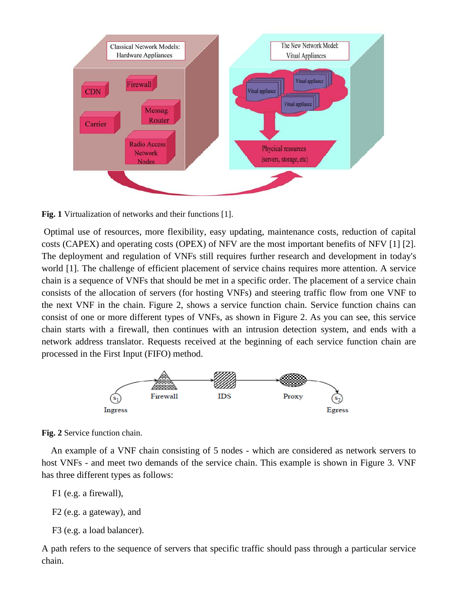

**Fig. 1** Virtualization of networks and their functions [1].

Optimal use of resources, more flexibility, easy updating, maintenance costs, reduction of capital costs (CAPEX) and operating costs (OPEX) of NFV are the most important benefits of NFV [1] [2]. The deployment and regulation of VNFs still requires further research and development in today's world [1]. The challenge of efficient placement of service chains requires more attention. A service chain is a sequence of VNFs that should be met in a specific order. The placement of a service chain consists of the allocation of servers (for hosting VNFs) and steering traffic flow from one VNF to the next VNF in the chain. Figure 2, shows a service function chain. Service function chains can consist of one or more different types of VNFs, as shown in Figure 2. As you can see, this service chain starts with a firewall, then continues with an intrusion detection system, and ends with a network address translator. Requests received at the beginning of each service function chain are processed in the First Input (FIFO) method.



**Fig. 2** Service function chain.

 An example of a VNF chain consisting of 5 nodes - which are considered as network servers to host VNFs - and meet two demands of the service chain. This example is shown in Figure 3. VNF has three different types as follows:

```
F1 (e.g. a firewall),
```
F2 (e.g. a gateway), and

```
F3 (e.g. a load balancer).
```
A path refers to the sequence of servers that specific traffic should pass through a particular service chain.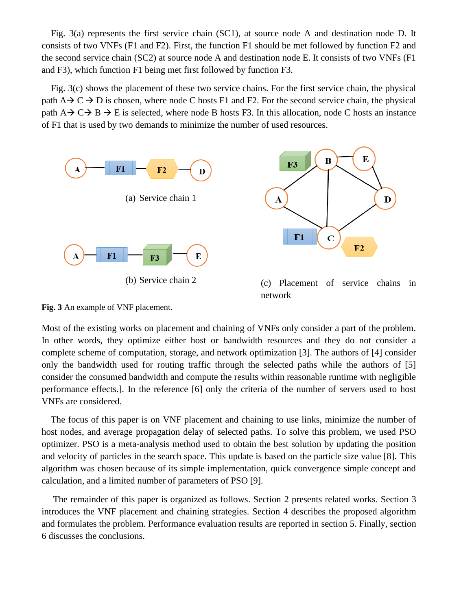Fig. 3(a) represents the first service chain (SC1), at source node A and destination node D. It consists of two VNFs (F1 and F2). First, the function F1 should be met followed by function F2 and the second service chain (SC2) at source node A and destination node E. It consists of two VNFs (F1 and F3), which function F1 being met first followed by function F3.

 Fig. 3(c) shows the placement of these two service chains. For the first service chain, the physical path  $A \rightarrow C \rightarrow D$  is chosen, where node C hosts F1 and F2. For the second service chain, the physical path  $A \rightarrow C \rightarrow B \rightarrow E$  is selected, where node B hosts F3. In this allocation, node C hosts an instance of F1 that is used by two demands to minimize the number of used resources.



**Fig. 3** An example of VNF placement.

Most of the existing works on placement and chaining of VNFs only consider a part of the problem. In other words, they optimize either host or bandwidth resources and they do not consider a complete scheme of computation, storage, and network optimization [3]. The authors of [4] consider only the bandwidth used for routing traffic through the selected paths while the authors of [5] consider the consumed bandwidth and compute the results within reasonable runtime with negligible performance effects.]. In the reference [6] only the criteria of the number of servers used to host VNFs are considered.

 The focus of this paper is on VNF placement and chaining to use links, minimize the number of host nodes, and average propagation delay of selected paths. To solve this problem, we used PSO optimizer. PSO is a meta-analysis method used to obtain the best solution by updating the position and velocity of particles in the search space. This update is based on the particle size value [8]. This algorithm was chosen because of its simple implementation, quick convergence simple concept and calculation, and a limited number of parameters of PSO [9].

 The remainder of this paper is organized as follows. Section 2 presents related works. Section 3 introduces the VNF placement and chaining strategies. Section 4 describes the proposed algorithm and formulates the problem. Performance evaluation results are reported in section 5. Finally, section 6 discusses the conclusions.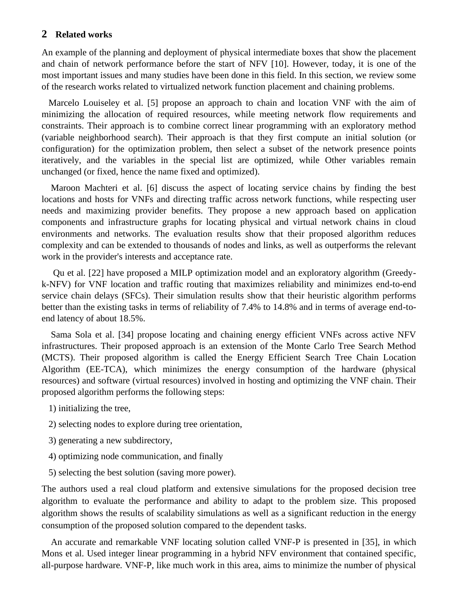#### **2 Related works**

An example of the planning and deployment of physical intermediate boxes that show the placement and chain of network performance before the start of NFV [10]. However, today, it is one of the most important issues and many studies have been done in this field. In this section, we review some of the research works related to virtualized network function placement and chaining problems.

 Marcelo Louiseley et al. [5] propose an approach to chain and location VNF with the aim of minimizing the allocation of required resources, while meeting network flow requirements and constraints. Their approach is to combine correct linear programming with an exploratory method (variable neighborhood search). Their approach is that they first compute an initial solution (or configuration) for the optimization problem, then select a subset of the network presence points iteratively, and the variables in the special list are optimized, while Other variables remain unchanged (or fixed, hence the name fixed and optimized).

 Maroon Machteri et al. [6] discuss the aspect of locating service chains by finding the best locations and hosts for VNFs and directing traffic across network functions, while respecting user needs and maximizing provider benefits. They propose a new approach based on application components and infrastructure graphs for locating physical and virtual network chains in cloud environments and networks. The evaluation results show that their proposed algorithm reduces complexity and can be extended to thousands of nodes and links, as well as outperforms the relevant work in the provider's interests and acceptance rate.

 Qu et al. [22] have proposed a MILP optimization model and an exploratory algorithm (Greedyk-NFV) for VNF location and traffic routing that maximizes reliability and minimizes end-to-end service chain delays (SFCs). Their simulation results show that their heuristic algorithm performs better than the existing tasks in terms of reliability of 7.4% to 14.8% and in terms of average end-toend latency of about 18.5%.

 Sama Sola et al. [34] propose locating and chaining energy efficient VNFs across active NFV infrastructures. Their proposed approach is an extension of the Monte Carlo Tree Search Method (MCTS). Their proposed algorithm is called the Energy Efficient Search Tree Chain Location Algorithm (EE-TCA), which minimizes the energy consumption of the hardware (physical resources) and software (virtual resources) involved in hosting and optimizing the VNF chain. Their proposed algorithm performs the following steps:

- 1) initializing the tree,
- 2) selecting nodes to explore during tree orientation,
- 3) generating a new subdirectory,
- 4) optimizing node communication, and finally
- 5) selecting the best solution (saving more power).

The authors used a real cloud platform and extensive simulations for the proposed decision tree algorithm to evaluate the performance and ability to adapt to the problem size. This proposed algorithm shows the results of scalability simulations as well as a significant reduction in the energy consumption of the proposed solution compared to the dependent tasks.

 An accurate and remarkable VNF locating solution called VNF-P is presented in [35], in which Mons et al. Used integer linear programming in a hybrid NFV environment that contained specific, all-purpose hardware. VNF-P, like much work in this area, aims to minimize the number of physical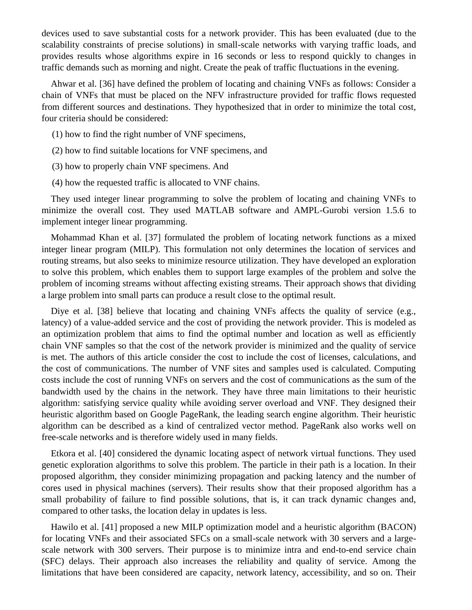devices used to save substantial costs for a network provider. This has been evaluated (due to the scalability constraints of precise solutions) in small-scale networks with varying traffic loads, and provides results whose algorithms expire in 16 seconds or less to respond quickly to changes in traffic demands such as morning and night. Create the peak of traffic fluctuations in the evening.

 Ahwar et al. [36] have defined the problem of locating and chaining VNFs as follows: Consider a chain of VNFs that must be placed on the NFV infrastructure provided for traffic flows requested from different sources and destinations. They hypothesized that in order to minimize the total cost, four criteria should be considered:

- (1) how to find the right number of VNF specimens,
- (2) how to find suitable locations for VNF specimens, and
- (3) how to properly chain VNF specimens. And
- (4) how the requested traffic is allocated to VNF chains.

 They used integer linear programming to solve the problem of locating and chaining VNFs to minimize the overall cost. They used MATLAB software and AMPL-Gurobi version 1.5.6 to implement integer linear programming.

 Mohammad Khan et al. [37] formulated the problem of locating network functions as a mixed integer linear program (MILP). This formulation not only determines the location of services and routing streams, but also seeks to minimize resource utilization. They have developed an exploration to solve this problem, which enables them to support large examples of the problem and solve the problem of incoming streams without affecting existing streams. Their approach shows that dividing a large problem into small parts can produce a result close to the optimal result.

Diye et al. [38] believe that locating and chaining VNFs affects the quality of service (e.g., latency) of a value-added service and the cost of providing the network provider. This is modeled as an optimization problem that aims to find the optimal number and location as well as efficiently chain VNF samples so that the cost of the network provider is minimized and the quality of service is met. The authors of this article consider the cost to include the cost of licenses, calculations, and the cost of communications. The number of VNF sites and samples used is calculated. Computing costs include the cost of running VNFs on servers and the cost of communications as the sum of the bandwidth used by the chains in the network. They have three main limitations to their heuristic algorithm: satisfying service quality while avoiding server overload and VNF. They designed their heuristic algorithm based on Google PageRank, the leading search engine algorithm. Their heuristic algorithm can be described as a kind of centralized vector method. PageRank also works well on free-scale networks and is therefore widely used in many fields.

 Etkora et al. [40] considered the dynamic locating aspect of network virtual functions. They used genetic exploration algorithms to solve this problem. The particle in their path is a location. In their proposed algorithm, they consider minimizing propagation and packing latency and the number of cores used in physical machines (servers). Their results show that their proposed algorithm has a small probability of failure to find possible solutions, that is, it can track dynamic changes and, compared to other tasks, the location delay in updates is less.

 Hawilo et al. [41] proposed a new MILP optimization model and a heuristic algorithm (BACON) for locating VNFs and their associated SFCs on a small-scale network with 30 servers and a largescale network with 300 servers. Their purpose is to minimize intra and end-to-end service chain (SFC) delays. Their approach also increases the reliability and quality of service. Among the limitations that have been considered are capacity, network latency, accessibility, and so on. Their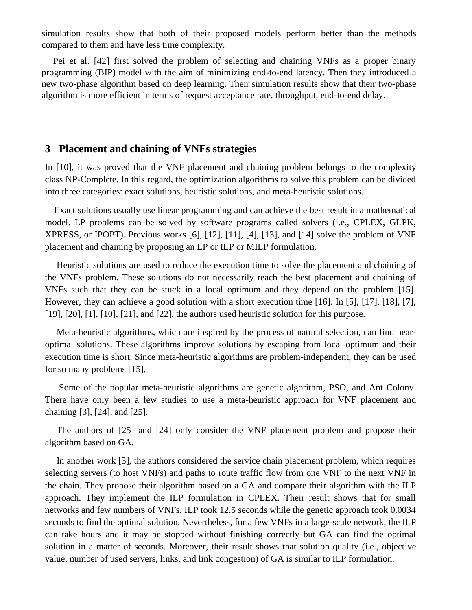simulation results show that both of their proposed models perform better than the methods compared to them and have less time complexity.

 Pei et al. [42] first solved the problem of selecting and chaining VNFs as a proper binary programming (BIP) model with the aim of minimizing end-to-end latency. Then they introduced a new two-phase algorithm based on deep learning. Their simulation results show that their two-phase algorithm is more efficient in terms of request acceptance rate, throughput, end-to-end delay.

# **3 Placement and chaining of VNFs strategies**

In [10], it was proved that the VNF placement and chaining problem belongs to the complexity class NP-Complete. In this regard, the optimization algorithms to solve this problem can be divided into three categories: exact solutions, heuristic solutions, and meta-heuristic solutions.

 Exact solutions usually use linear programming and can achieve the best result in a mathematical model. LP problems can be solved by software programs called solvers (i.e., CPLEX, GLPK, XPRESS, or IPOPT). Previous works [6], [12], [11], [4], [13], and [14] solve the problem of VNF placement and chaining by proposing an LP or ILP or MILP formulation.

 Heuristic solutions are used to reduce the execution time to solve the placement and chaining of the VNFs problem. These solutions do not necessarily reach the best placement and chaining of VNFs such that they can be stuck in a local optimum and they depend on the problem [15]. However, they can achieve a good solution with a short execution time [16]. In [5], [17], [18], [7], [19], [20], [1], [10], [21], and [22], the authors used heuristic solution for this purpose.

 Meta-heuristic algorithms, which are inspired by the process of natural selection, can find nearoptimal solutions. These algorithms improve solutions by escaping from local optimum and their execution time is short. Since meta-heuristic algorithms are problem-independent, they can be used for so many problems [15].

 Some of the popular meta-heuristic algorithms are genetic algorithm, PSO, and Ant Colony. There have only been a few studies to use a meta-heuristic approach for VNF placement and chaining [3], [24], and [25].

 The authors of [25] and [24] only consider the VNF placement problem and propose their algorithm based on GA.

 In another work [3], the authors considered the service chain placement problem, which requires selecting servers (to host VNFs) and paths to route traffic flow from one VNF to the next VNF in the chain. They propose their algorithm based on a GA and compare their algorithm with the ILP approach. They implement the ILP formulation in CPLEX. Their result shows that for small networks and few numbers of VNFs, ILP took 12.5 seconds while the genetic approach took 0.0034 seconds to find the optimal solution. Nevertheless, for a few VNFs in a large-scale network, the ILP can take hours and it may be stopped without finishing correctly but GA can find the optimal solution in a matter of seconds. Moreover, their result shows that solution quality (i.e., objective value, number of used servers, links, and link congestion) of GA is similar to ILP formulation.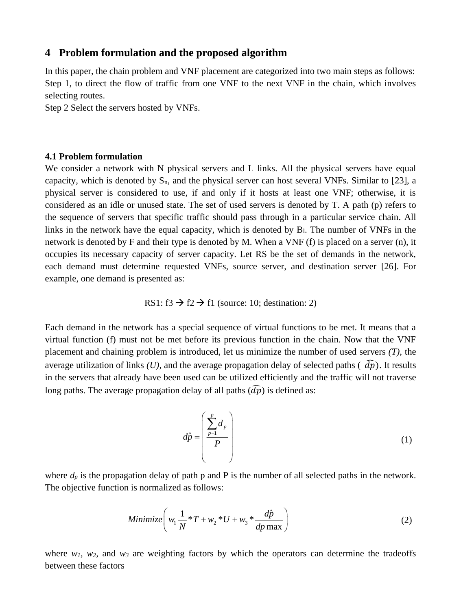#### **4 Problem formulation and the proposed algorithm**

In this paper, the chain problem and VNF placement are categorized into two main steps as follows: Step 1, to direct the flow of traffic from one VNF to the next VNF in the chain, which involves selecting routes.

Step 2 Select the servers hosted by VNFs.

#### **4.1 Problem formulation**

We consider a network with N physical servers and L links. All the physical servers have equal capacity, which is denoted by  $S_n$ , and the physical server can host several VNFs. Similar to [23], a physical server is considered to use, if and only if it hosts at least one VNF; otherwise, it is considered as an idle or unused state. The set of used servers is denoted by T. A path (p) refers to the sequence of servers that specific traffic should pass through in a particular service chain. All links in the network have the equal capacity, which is denoted by B<sub>l</sub>. The number of VNFs in the network is denoted by F and their type is denoted by M. When a VNF (f) is placed on a server (n), it occupies its necessary capacity of server capacity. Let RS be the set of demands in the network, each demand must determine requested VNFs, source server, and destination server [26]. For example, one demand is presented as:

RS1: f3  $\rightarrow$  f2  $\rightarrow$  f1 (source: 10; destination: 2)

Each demand in the network has a special sequence of virtual functions to be met. It means that a virtual function (f) must not be met before its previous function in the chain. Now that the VNF placement and chaining problem is introduced, let us minimize the number of used servers *(T)*, the average utilization of links *(U)*, and the average propagation delay of selected paths  $\hat{dp}$ ). It results in the servers that already have been used can be utilized efficiently and the traffic will not traverse long paths. The average propagation delay of all paths  $(\widehat{d\rho})$  is defined as:

$$
d\hat{p} = \left(\frac{\sum_{p=1}^{p} d_p}{P}\right)
$$
 (1)

where  $d_p$  is the propagation delay of path p and P is the number of all selected paths in the network. The objective function is normalized as follows:

Minimize 
$$
\left(w_1 \frac{1}{N} * T + w_2 * U + w_3 * \frac{d\hat{p}}{dp \max}\right)
$$
 (2)

where  $w_1$ ,  $w_2$ , and  $w_3$  are weighting factors by which the operators can determine the tradeoffs between these factors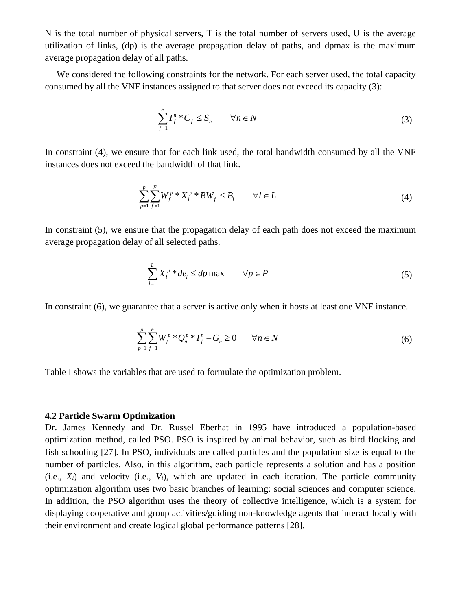N is the total number of physical servers, T is the total number of servers used, U is the average utilization of links, (dp) is the average propagation delay of paths, and dpmax is the maximum average propagation delay of all paths.

 We considered the following constraints for the network. For each server used, the total capacity consumed by all the VNF instances assigned to that server does not exceed its capacity (3):

$$
\sum_{f=1}^{F} I_f^n * C_f \leq S_n \qquad \forall n \in N \tag{3}
$$

In constraint (4), we ensure that for each link used, the total bandwidth consumed by all the VNF instances does not exceed the bandwidth of that link.

$$
\sum_{p=1}^{p} \sum_{f=1}^{F} W_f^p * X_l^p * BW_f \leq B_l \qquad \forall l \in L
$$
\n
$$
(4)
$$

In constraint (5), we ensure that the propagation delay of each path does not exceed the maximum average propagation delay of all selected paths.

$$
\sum_{l=1}^{L} X_l^p * de_l \le dp \max \qquad \forall p \in P \tag{5}
$$

In constraint (6), we guarantee that a server is active only when it hosts at least one VNF instance.

$$
\sum_{p=1}^{p} \sum_{f=1}^{F} W_f^p * Q_n^p * I_f^n - G_n \ge 0 \qquad \forall n \in N
$$
 (6)

Table I shows the variables that are used to formulate the optimization problem.

#### **4.2 Particle Swarm Optimization**

Dr. James Kennedy and Dr. Russel Eberhat in 1995 have introduced a population-based optimization method, called PSO. PSO is inspired by animal behavior, such as bird flocking and fish schooling [27]. In PSO, individuals are called particles and the population size is equal to the number of particles. Also, in this algorithm, each particle represents a solution and has a position  $(i.e., X<sub>i</sub>)$  and velocity (i.e.,  $V<sub>i</sub>$ ), which are updated in each iteration. The particle community optimization algorithm uses two basic branches of learning: social sciences and computer science. In addition, the PSO algorithm uses the theory of collective intelligence, which is a system for displaying cooperative and group activities/guiding non-knowledge agents that interact locally with their environment and create logical global performance patterns [28] .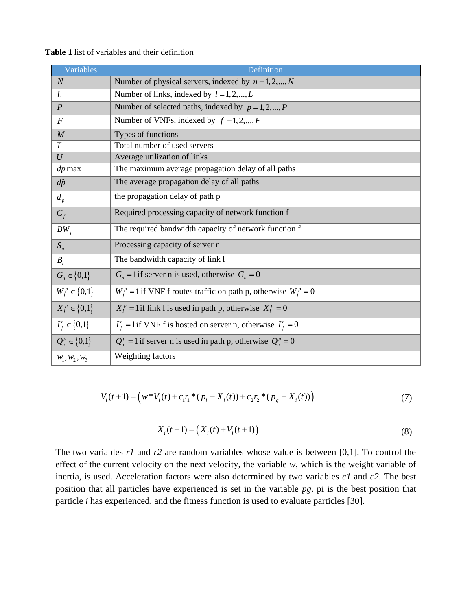| Variables           | Definition                                                           |  |
|---------------------|----------------------------------------------------------------------|--|
| $\overline{N}$      | Number of physical servers, indexed by $n = 1, 2, , N$               |  |
| L                   | Number of links, indexed by $l = 1, 2, , L$                          |  |
| $\boldsymbol{P}$    | Number of selected paths, indexed by $p = 1, 2, , P$                 |  |
| $\boldsymbol{F}$    | Number of VNFs, indexed by $f = 1, 2, , F$                           |  |
| $\overline{M}$      | Types of functions                                                   |  |
| $\overline{T}$      | Total number of used servers                                         |  |
| U                   | Average utilization of links                                         |  |
| $dp$ max            | The maximum average propagation delay of all paths                   |  |
| $d\hat{p}$          | The average propagation delay of all paths                           |  |
| $d_{p}$             | the propagation delay of path p                                      |  |
| $C_f$               | Required processing capacity of network function f                   |  |
| $BW_f$              | The required bandwidth capacity of network function f                |  |
| $S_n$               | Processing capacity of server n                                      |  |
| $B_i$               | The bandwidth capacity of link 1                                     |  |
| $G_n \in \{0,1\}$   | $G_n = 1$ if server n is used, otherwise $G_n = 0$                   |  |
| $W_f^p \in \{0,1\}$ | $W_f^p = 1$ if VNF f routes traffic on path p, otherwise $W_f^p = 0$ |  |
| $X_l^p \in \{0,1\}$ | $X_l^p = 1$ if link 1 is used in path p, otherwise $X_l^p = 0$       |  |
| $I_f^n \in \{0,1\}$ | $I_f^n$ = 1 if VNF f is hosted on server n, otherwise $I_f^n$ = 0    |  |
| $Q_n^p \in \{0,1\}$ | $Q_n^p = 1$ if server n is used in path p, otherwise $Q_n^p = 0$     |  |
| $W_1, W_2, W_3$     | Weighting factors                                                    |  |

**Table 1** list of variables and their definition

$$
V_i(t+1) = \left(w^*V_i(t) + c_1r_i^*(p_i - X_i(t)) + c_2r_2^*(p_g - X_i(t))\right)
$$
\n<sup>(7)</sup>

$$
X_i(t+1) = (X_i(t) + V_i(t+1))
$$
\n(8)

The two variables *r1* and *r2* are random variables whose value is between [0,1]. To control the effect of the current velocity on the next velocity, the variable *w*, which is the weight variable of inertia, is used. Acceleration factors were also determined by two variables *c1* and *c2*. The best position that all particles have experienced is set in the variable *pg*. pi is the best position that particle *i* has experienced, and the fitness function is used to evaluate particles [30].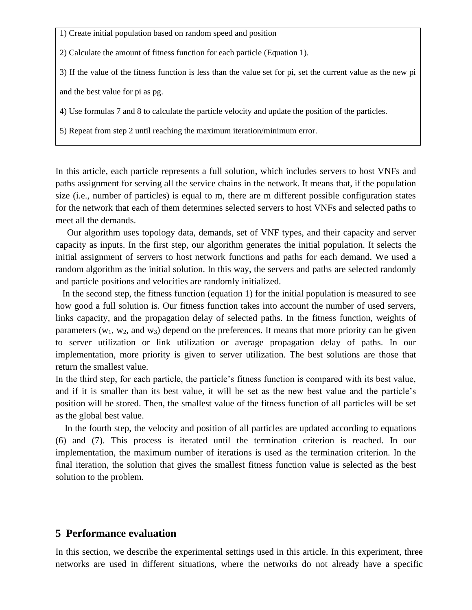1) Create initial population based on random speed and position

2) Calculate the amount of fitness function for each particle (Equation 1).

3) If the value of the fitness function is less than the value set for pi, set the current value as the new pi

and the best value for pi as pg.

4) Use formulas 7 and 8 to calculate the particle velocity and update the position of the particles.

5) Repeat from step 2 until reaching the maximum iteration/minimum error.

In this article, each particle represents a full solution, which includes servers to host VNFs and paths assignment for serving all the service chains in the network. It means that, if the population size (i.e., number of particles) is equal to m, there are m different possible configuration states for the network that each of them determines selected servers to host VNFs and selected paths to meet all the demands.

 Our algorithm uses topology data, demands, set of VNF types, and their capacity and server capacity as inputs. In the first step, our algorithm generates the initial population. It selects the initial assignment of servers to host network functions and paths for each demand. We used a random algorithm as the initial solution. In this way, the servers and paths are selected randomly and particle positions and velocities are randomly initialized.

 In the second step, the fitness function (equation 1) for the initial population is measured to see how good a full solution is. Our fitness function takes into account the number of used servers, links capacity, and the propagation delay of selected paths. In the fitness function, weights of parameters  $(w_1, w_2,$  and  $w_3)$  depend on the preferences. It means that more priority can be given to server utilization or link utilization or average propagation delay of paths. In our implementation, more priority is given to server utilization. The best solutions are those that return the smallest value.

In the third step, for each particle, the particle's fitness function is compared with its best value, and if it is smaller than its best value, it will be set as the new best value and the particle's position will be stored. Then, the smallest value of the fitness function of all particles will be set as the global best value.

 In the fourth step, the velocity and position of all particles are updated according to equations (6) and (7). This process is iterated until the termination criterion is reached. In our implementation, the maximum number of iterations is used as the termination criterion. In the final iteration, the solution that gives the smallest fitness function value is selected as the best solution to the problem.

# **5 Performance evaluation**

In this section, we describe the experimental settings used in this article. In this experiment, three networks are used in different situations, where the networks do not already have a specific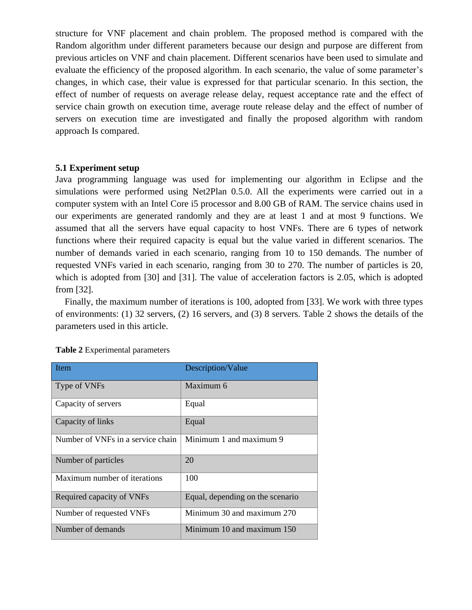structure for VNF placement and chain problem. The proposed method is compared with the Random algorithm under different parameters because our design and purpose are different from previous articles on VNF and chain placement. Different scenarios have been used to simulate and evaluate the efficiency of the proposed algorithm. In each scenario, the value of some parameter's changes, in which case, their value is expressed for that particular scenario. In this section, the effect of number of requests on average release delay, request acceptance rate and the effect of service chain growth on execution time, average route release delay and the effect of number of servers on execution time are investigated and finally the proposed algorithm with random approach Is compared.

#### **5.1 Experiment setup**

Java programming language was used for implementing our algorithm in Eclipse and the simulations were performed using Net2Plan 0.5.0. All the experiments were carried out in a computer system with an Intel Core i5 processor and 8.00 GB of RAM. The service chains used in our experiments are generated randomly and they are at least 1 and at most 9 functions. We assumed that all the servers have equal capacity to host VNFs. There are 6 types of network functions where their required capacity is equal but the value varied in different scenarios. The number of demands varied in each scenario, ranging from 10 to 150 demands. The number of requested VNFs varied in each scenario, ranging from 30 to 270. The number of particles is 20, which is adopted from [30] and [31]. The value of acceleration factors is 2.05, which is adopted from [32].

 Finally, the maximum number of iterations is 100, adopted from [33]. We work with three types of environments: (1) 32 servers, (2) 16 servers, and (3) 8 servers. Table 2 shows the details of the parameters used in this article.

| <b>Item</b>                       | Description/Value                |  |
|-----------------------------------|----------------------------------|--|
| Type of VNFs                      | Maximum 6                        |  |
| Capacity of servers               | Equal                            |  |
| Capacity of links                 | Equal                            |  |
| Number of VNFs in a service chain | Minimum 1 and maximum 9          |  |
| Number of particles               | 20                               |  |
| Maximum number of iterations      | 100                              |  |
| Required capacity of VNFs         | Equal, depending on the scenario |  |
| Number of requested VNFs          | Minimum 30 and maximum 270       |  |
| Number of demands                 | Minimum 10 and maximum 150       |  |

| <b>Table 2</b> Experimental parameters |  |  |  |  |
|----------------------------------------|--|--|--|--|
|----------------------------------------|--|--|--|--|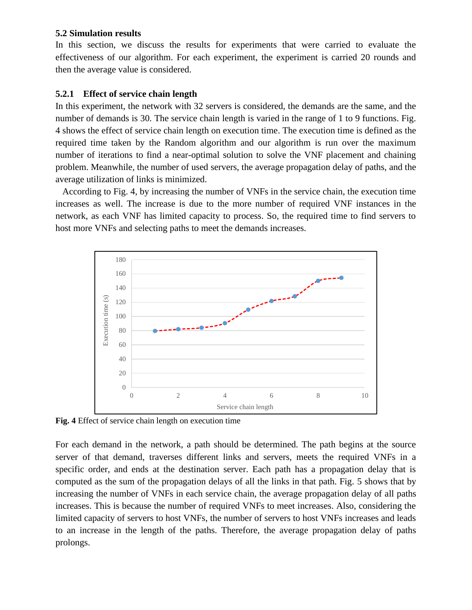#### **5.2 Simulation results**

In this section, we discuss the results for experiments that were carried to evaluate the effectiveness of our algorithm. For each experiment, the experiment is carried 20 rounds and then the average value is considered.

## **5.2.1 Effect of service chain length**

In this experiment, the network with 32 servers is considered, the demands are the same, and the number of demands is 30. The service chain length is varied in the range of 1 to 9 functions. Fig. 4 shows the effect of service chain length on execution time. The execution time is defined as the required time taken by the Random algorithm and our algorithm is run over the maximum number of iterations to find a near-optimal solution to solve the VNF placement and chaining problem. Meanwhile, the number of used servers, the average propagation delay of paths, and the average utilization of links is minimized.

 According to Fig. 4, by increasing the number of VNFs in the service chain, the execution time increases as well. The increase is due to the more number of required VNF instances in the network, as each VNF has limited capacity to process. So, the required time to find servers to host more VNFs and selecting paths to meet the demands increases.



**Fig. 4** Effect of service chain length on execution time

For each demand in the network, a path should be determined. The path begins at the source server of that demand, traverses different links and servers, meets the required VNFs in a specific order, and ends at the destination server. Each path has a propagation delay that is computed as the sum of the propagation delays of all the links in that path. Fig. 5 shows that by increasing the number of VNFs in each service chain, the average propagation delay of all paths increases. This is because the number of required VNFs to meet increases. Also, considering the limited capacity of servers to host VNFs, the number of servers to host VNFs increases and leads to an increase in the length of the paths. Therefore, the average propagation delay of paths prolongs.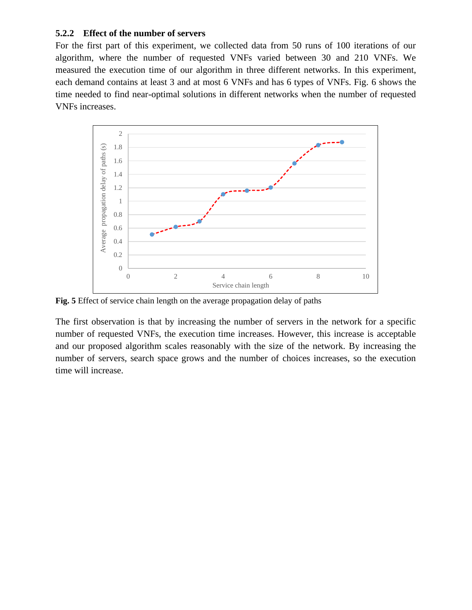#### **5.2.2 Effect of the number of servers**

For the first part of this experiment, we collected data from 50 runs of 100 iterations of our algorithm, where the number of requested VNFs varied between 30 and 210 VNFs. We measured the execution time of our algorithm in three different networks. In this experiment, each demand contains at least 3 and at most 6 VNFs and has 6 types of VNFs. Fig. 6 shows the time needed to find near-optimal solutions in different networks when the number of requested VNFs increases.



**Fig. 5** Effect of service chain length on the average propagation delay of paths

The first observation is that by increasing the number of servers in the network for a specific number of requested VNFs, the execution time increases. However, this increase is acceptable and our proposed algorithm scales reasonably with the size of the network. By increasing the number of servers, search space grows and the number of choices increases, so the execution time will increase.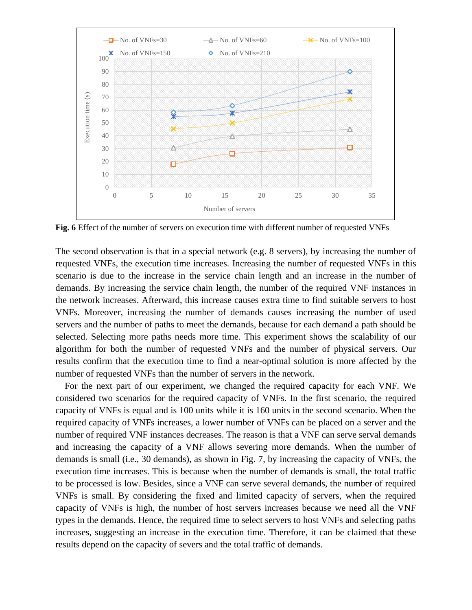

**Fig. 6** Effect of the number of servers on execution time with different number of requested VNFs

The second observation is that in a special network (e.g. 8 servers), by increasing the number of requested VNFs, the execution time increases. Increasing the number of requested VNFs in this scenario is due to the increase in the service chain length and an increase in the number of demands. By increasing the service chain length, the number of the required VNF instances in the network increases. Afterward, this increase causes extra time to find suitable servers to host VNFs. Moreover, increasing the number of demands causes increasing the number of used servers and the number of paths to meet the demands, because for each demand a path should be selected. Selecting more paths needs more time. This experiment shows the scalability of our algorithm for both the number of requested VNFs and the number of physical servers. Our results confirm that the execution time to find a near-optimal solution is more affected by the number of requested VNFs than the number of servers in the network.

 For the next part of our experiment, we changed the required capacity for each VNF. We considered two scenarios for the required capacity of VNFs. In the first scenario, the required capacity of VNFs is equal and is 100 units while it is 160 units in the second scenario. When the required capacity of VNFs increases, a lower number of VNFs can be placed on a server and the number of required VNF instances decreases. The reason is that a VNF can serve serval demands and increasing the capacity of a VNF allows severing more demands. When the number of demands is small (i.e., 30 demands), as shown in Fig. 7, by increasing the capacity of VNFs, the execution time increases. This is because when the number of demands is small, the total traffic to be processed is low. Besides, since a VNF can serve several demands, the number of required VNFs is small. By considering the fixed and limited capacity of servers, when the required capacity of VNFs is high, the number of host servers increases because we need all the VNF types in the demands. Hence, the required time to select servers to host VNFs and selecting paths increases, suggesting an increase in the execution time. Therefore, it can be claimed that these results depend on the capacity of severs and the total traffic of demands.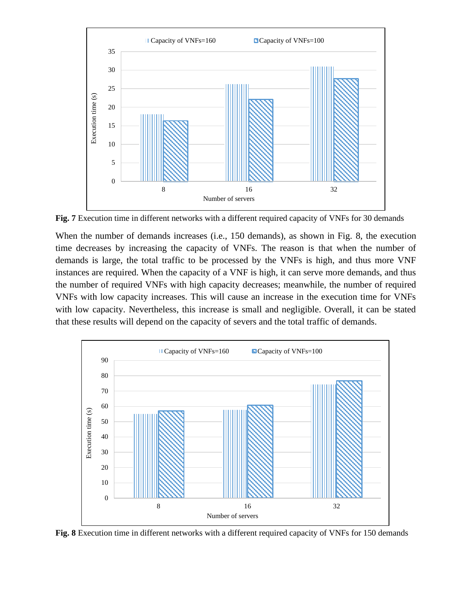

**Fig. 7** Execution time in different networks with a different required capacity of VNFs for 30 demands

When the number of demands increases (i.e., 150 demands), as shown in Fig. 8, the execution time decreases by increasing the capacity of VNFs. The reason is that when the number of demands is large, the total traffic to be processed by the VNFs is high, and thus more VNF instances are required. When the capacity of a VNF is high, it can serve more demands, and thus the number of required VNFs with high capacity decreases; meanwhile, the number of required VNFs with low capacity increases. This will cause an increase in the execution time for VNFs with low capacity. Nevertheless, this increase is small and negligible. Overall, it can be stated that these results will depend on the capacity of severs and the total traffic of demands.



**Fig. 8** Execution time in different networks with a different required capacity of VNFs for 150 demands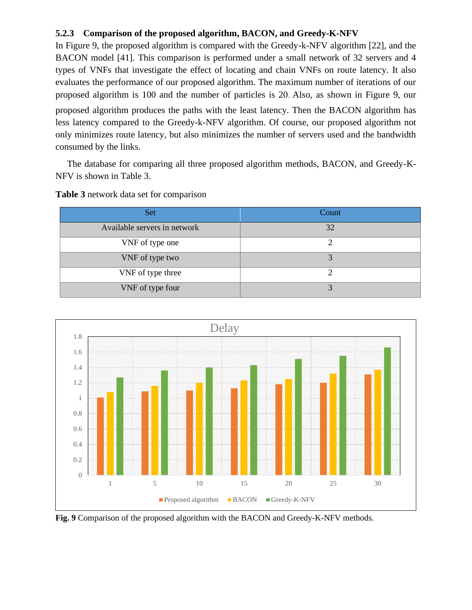## **5.2.3 Comparison of the proposed algorithm, BACON, and Greedy-K-NFV**

In Figure 9, the proposed algorithm is compared with the Greedy-k-NFV algorithm [22], and the BACON model [41]. This comparison is performed under a small network of 32 servers and 4 types of VNFs that investigate the effect of locating and chain VNFs on route latency. It also evaluates the performance of our proposed algorithm. The maximum number of iterations of our proposed algorithm is 100 and the number of particles is 20. Also, as shown in Figure 9, our proposed algorithm produces the paths with the least latency. Then the BACON algorithm has less latency compared to the Greedy-k-NFV algorithm. Of course, our proposed algorithm not only minimizes route latency, but also minimizes the number of servers used and the bandwidth

 The database for comparing all three proposed algorithm methods, BACON, and Greedy-K-NFV is shown in Table 3.

| <b>Set</b>                   | Count |
|------------------------------|-------|
| Available servers in network | 32    |
| VNF of type one              |       |
| VNF of type two              |       |
| VNF of type three            |       |
| VNF of type four             |       |

**Table 3** network data set for comparison

consumed by the links.



**Fig. 9** Comparison of the proposed algorithm with the BACON and Greedy-K-NFV methods.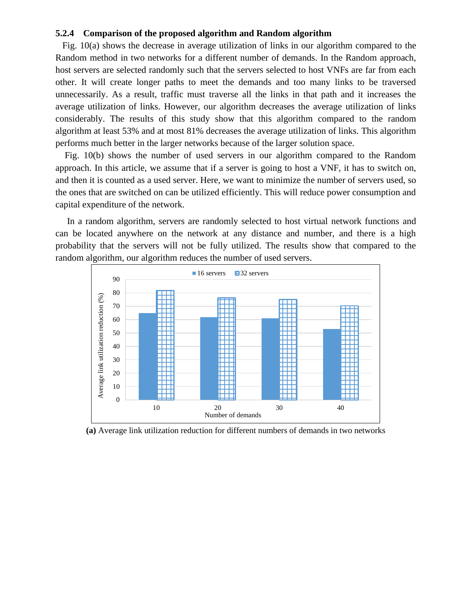#### **5.2.4 Comparison of the proposed algorithm and Random algorithm**

 Fig. 10(a) shows the decrease in average utilization of links in our algorithm compared to the Random method in two networks for a different number of demands. In the Random approach, host servers are selected randomly such that the servers selected to host VNFs are far from each other. It will create longer paths to meet the demands and too many links to be traversed unnecessarily. As a result, traffic must traverse all the links in that path and it increases the average utilization of links. However, our algorithm decreases the average utilization of links considerably. The results of this study show that this algorithm compared to the random algorithm at least 53% and at most 81% decreases the average utilization of links. This algorithm performs much better in the larger networks because of the larger solution space.

 Fig. 10(b) shows the number of used servers in our algorithm compared to the Random approach. In this article, we assume that if a server is going to host a VNF, it has to switch on, and then it is counted as a used server. Here, we want to minimize the number of servers used, so the ones that are switched on can be utilized efficiently. This will reduce power consumption and capital expenditure of the network.

 In a random algorithm, servers are randomly selected to host virtual network functions and can be located anywhere on the network at any distance and number, and there is a high probability that the servers will not be fully utilized. The results show that compared to the random algorithm, our algorithm reduces the number of used servers.



**(a)** Average link utilization reduction for different numbers of demands in two networks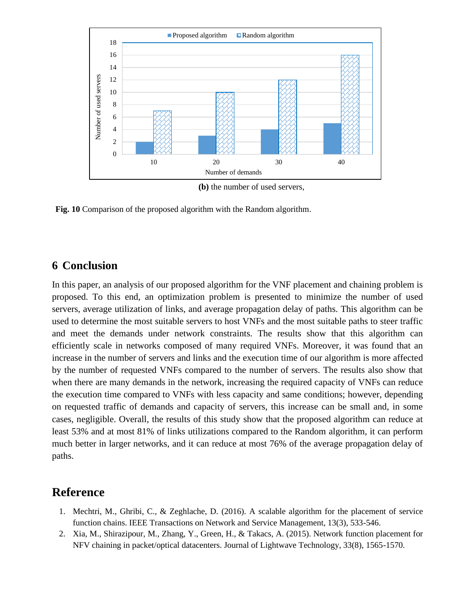

**(b)** the number of used servers,

**Fig. 10** Comparison of the proposed algorithm with the Random algorithm.

# **6 Conclusion**

In this paper, an analysis of our proposed algorithm for the VNF placement and chaining problem is proposed. To this end, an optimization problem is presented to minimize the number of used servers, average utilization of links, and average propagation delay of paths. This algorithm can be used to determine the most suitable servers to host VNFs and the most suitable paths to steer traffic and meet the demands under network constraints. The results show that this algorithm can efficiently scale in networks composed of many required VNFs. Moreover, it was found that an increase in the number of servers and links and the execution time of our algorithm is more affected by the number of requested VNFs compared to the number of servers. The results also show that when there are many demands in the network, increasing the required capacity of VNFs can reduce the execution time compared to VNFs with less capacity and same conditions; however, depending on requested traffic of demands and capacity of servers, this increase can be small and, in some cases, negligible. Overall, the results of this study show that the proposed algorithm can reduce at least 53% and at most 81% of links utilizations compared to the Random algorithm, it can perform much better in larger networks, and it can reduce at most 76% of the average propagation delay of paths.

# **Reference**

- 1. Mechtri, M., Ghribi, C., & Zeghlache, D. (2016). A scalable algorithm for the placement of service function chains. IEEE Transactions on Network and Service Management, 13(3), 533-546.
- 2. Xia, M., Shirazipour, M., Zhang, Y., Green, H., & Takacs, A. (2015). Network function placement for NFV chaining in packet/optical datacenters. Journal of Lightwave Technology, 33(8), 1565-1570.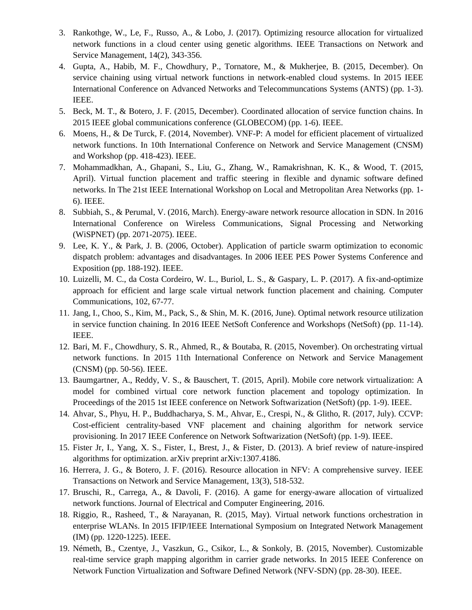- 3. Rankothge, W., Le, F., Russo, A., & Lobo, J. (2017). Optimizing resource allocation for virtualized network functions in a cloud center using genetic algorithms. IEEE Transactions on Network and Service Management, 14(2), 343-356.
- 4. Gupta, A., Habib, M. F., Chowdhury, P., Tornatore, M., & Mukherjee, B. (2015, December). On service chaining using virtual network functions in network-enabled cloud systems. In 2015 IEEE International Conference on Advanced Networks and Telecommuncations Systems (ANTS) (pp. 1-3). IEEE.
- 5. Beck, M. T., & Botero, J. F. (2015, December). Coordinated allocation of service function chains. In 2015 IEEE global communications conference (GLOBECOM) (pp. 1-6). IEEE.
- 6. Moens, H., & De Turck, F. (2014, November). VNF-P: A model for efficient placement of virtualized network functions. In 10th International Conference on Network and Service Management (CNSM) and Workshop (pp. 418-423). IEEE.
- 7. Mohammadkhan, A., Ghapani, S., Liu, G., Zhang, W., Ramakrishnan, K. K., & Wood, T. (2015, April). Virtual function placement and traffic steering in flexible and dynamic software defined networks. In The 21st IEEE International Workshop on Local and Metropolitan Area Networks (pp. 1- 6). IEEE.
- 8. Subbiah, S., & Perumal, V. (2016, March). Energy-aware network resource allocation in SDN. In 2016 International Conference on Wireless Communications, Signal Processing and Networking (WiSPNET) (pp. 2071-2075). IEEE.
- 9. Lee, K. Y., & Park, J. B. (2006, October). Application of particle swarm optimization to economic dispatch problem: advantages and disadvantages. In 2006 IEEE PES Power Systems Conference and Exposition (pp. 188-192). IEEE.
- 10. Luizelli, M. C., da Costa Cordeiro, W. L., Buriol, L. S., & Gaspary, L. P. (2017). A fix-and-optimize approach for efficient and large scale virtual network function placement and chaining. Computer Communications, 102, 67-77.
- 11. Jang, I., Choo, S., Kim, M., Pack, S., & Shin, M. K. (2016, June). Optimal network resource utilization in service function chaining. In 2016 IEEE NetSoft Conference and Workshops (NetSoft) (pp. 11-14). IEEE.
- 12. Bari, M. F., Chowdhury, S. R., Ahmed, R., & Boutaba, R. (2015, November). On orchestrating virtual network functions. In 2015 11th International Conference on Network and Service Management (CNSM) (pp. 50-56). IEEE.
- 13. Baumgartner, A., Reddy, V. S., & Bauschert, T. (2015, April). Mobile core network virtualization: A model for combined virtual core network function placement and topology optimization. In Proceedings of the 2015 1st IEEE conference on Network Softwarization (NetSoft) (pp. 1-9). IEEE.
- 14. Ahvar, S., Phyu, H. P., Buddhacharya, S. M., Ahvar, E., Crespi, N., & Glitho, R. (2017, July). CCVP: Cost-efficient centrality-based VNF placement and chaining algorithm for network service provisioning. In 2017 IEEE Conference on Network Softwarization (NetSoft) (pp. 1-9). IEEE.
- 15. Fister Jr, I., Yang, X. S., Fister, I., Brest, J., & Fister, D. (2013). A brief review of nature-inspired algorithms for optimization. arXiv preprint arXiv:1307.4186.
- 16. Herrera, J. G., & Botero, J. F. (2016). Resource allocation in NFV: A comprehensive survey. IEEE Transactions on Network and Service Management, 13(3), 518-532.
- 17. Bruschi, R., Carrega, A., & Davoli, F. (2016). A game for energy-aware allocation of virtualized network functions. Journal of Electrical and Computer Engineering, 2016.
- 18. Riggio, R., Rasheed, T., & Narayanan, R. (2015, May). Virtual network functions orchestration in enterprise WLANs. In 2015 IFIP/IEEE International Symposium on Integrated Network Management (IM) (pp. 1220-1225). IEEE.
- 19. Németh, B., Czentye, J., Vaszkun, G., Csikor, L., & Sonkoly, B. (2015, November). Customizable real-time service graph mapping algorithm in carrier grade networks. In 2015 IEEE Conference on Network Function Virtualization and Software Defined Network (NFV-SDN) (pp. 28-30). IEEE.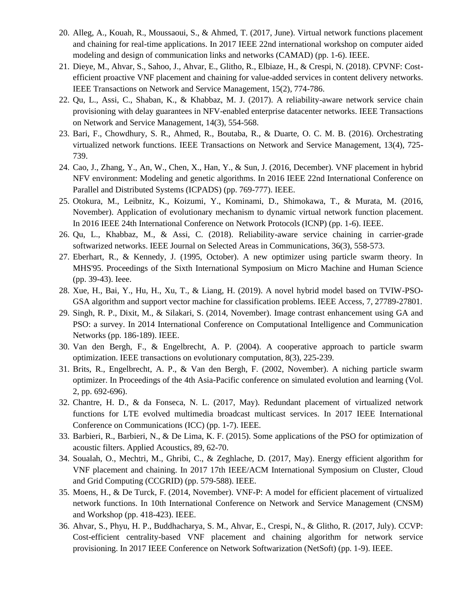- 20. Alleg, A., Kouah, R., Moussaoui, S., & Ahmed, T. (2017, June). Virtual network functions placement and chaining for real-time applications. In 2017 IEEE 22nd international workshop on computer aided modeling and design of communication links and networks (CAMAD) (pp. 1-6). IEEE.
- 21. Dieye, M., Ahvar, S., Sahoo, J., Ahvar, E., Glitho, R., Elbiaze, H., & Crespi, N. (2018). CPVNF: Costefficient proactive VNF placement and chaining for value-added services in content delivery networks. IEEE Transactions on Network and Service Management, 15(2), 774-786.
- 22. Qu, L., Assi, C., Shaban, K., & Khabbaz, M. J. (2017). A reliability-aware network service chain provisioning with delay guarantees in NFV-enabled enterprise datacenter networks. IEEE Transactions on Network and Service Management, 14(3), 554-568.
- 23. Bari, F., Chowdhury, S. R., Ahmed, R., Boutaba, R., & Duarte, O. C. M. B. (2016). Orchestrating virtualized network functions. IEEE Transactions on Network and Service Management, 13(4), 725- 739.
- 24. Cao, J., Zhang, Y., An, W., Chen, X., Han, Y., & Sun, J. (2016, December). VNF placement in hybrid NFV environment: Modeling and genetic algorithms. In 2016 IEEE 22nd International Conference on Parallel and Distributed Systems (ICPADS) (pp. 769-777). IEEE.
- 25. Otokura, M., Leibnitz, K., Koizumi, Y., Kominami, D., Shimokawa, T., & Murata, M. (2016, November). Application of evolutionary mechanism to dynamic virtual network function placement. In 2016 IEEE 24th International Conference on Network Protocols (ICNP) (pp. 1-6). IEEE.
- 26. Qu, L., Khabbaz, M., & Assi, C. (2018). Reliability-aware service chaining in carrier-grade softwarized networks. IEEE Journal on Selected Areas in Communications, 36(3), 558-573.
- 27. Eberhart, R., & Kennedy, J. (1995, October). A new optimizer using particle swarm theory. In MHS'95. Proceedings of the Sixth International Symposium on Micro Machine and Human Science (pp. 39-43). Ieee.
- 28. Xue, H., Bai, Y., Hu, H., Xu, T., & Liang, H. (2019). A novel hybrid model based on TVIW-PSO-GSA algorithm and support vector machine for classification problems. IEEE Access, 7, 27789-27801.
- 29. Singh, R. P., Dixit, M., & Silakari, S. (2014, November). Image contrast enhancement using GA and PSO: a survey. In 2014 International Conference on Computational Intelligence and Communication Networks (pp. 186-189). IEEE.
- 30. Van den Bergh, F., & Engelbrecht, A. P. (2004). A cooperative approach to particle swarm optimization. IEEE transactions on evolutionary computation, 8(3), 225-239.
- 31. Brits, R., Engelbrecht, A. P., & Van den Bergh, F. (2002, November). A niching particle swarm optimizer. In Proceedings of the 4th Asia-Pacific conference on simulated evolution and learning (Vol. 2, pp. 692-696).
- 32. Chantre, H. D., & da Fonseca, N. L. (2017, May). Redundant placement of virtualized network functions for LTE evolved multimedia broadcast multicast services. In 2017 IEEE International Conference on Communications (ICC) (pp. 1-7). IEEE.
- 33. Barbieri, R., Barbieri, N., & De Lima, K. F. (2015). Some applications of the PSO for optimization of acoustic filters. Applied Acoustics, 89, 62-70.
- 34. Soualah, O., Mechtri, M., Ghribi, C., & Zeghlache, D. (2017, May). Energy efficient algorithm for VNF placement and chaining. In 2017 17th IEEE/ACM International Symposium on Cluster, Cloud and Grid Computing (CCGRID) (pp. 579-588). IEEE.
- 35. Moens, H., & De Turck, F. (2014, November). VNF-P: A model for efficient placement of virtualized network functions. In 10th International Conference on Network and Service Management (CNSM) and Workshop (pp. 418-423). IEEE.
- 36. Ahvar, S., Phyu, H. P., Buddhacharya, S. M., Ahvar, E., Crespi, N., & Glitho, R. (2017, July). CCVP: Cost-efficient centrality-based VNF placement and chaining algorithm for network service provisioning. In 2017 IEEE Conference on Network Softwarization (NetSoft) (pp. 1-9). IEEE.